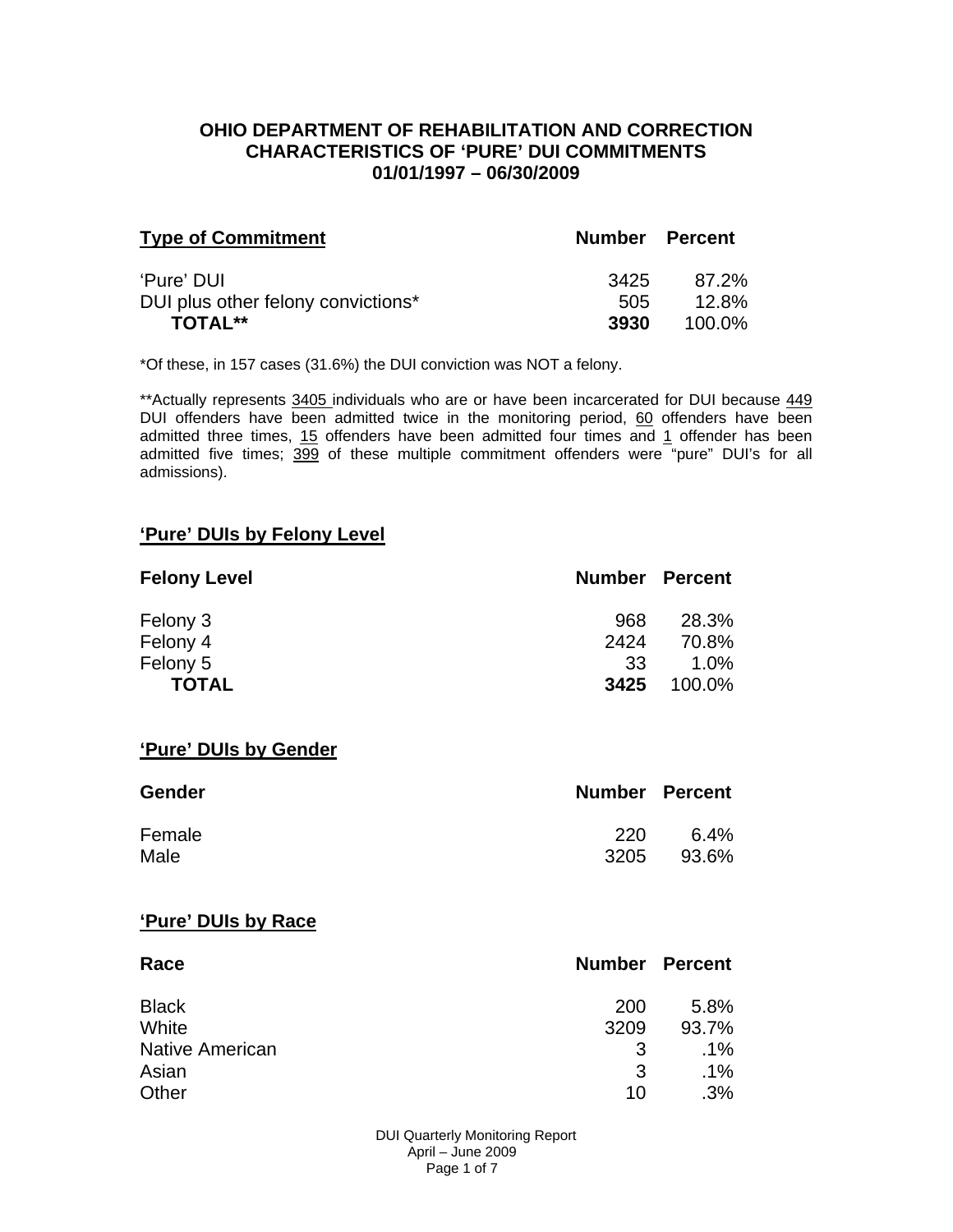### **OHIO DEPARTMENT OF REHABILITATION AND CORRECTION CHARACTERISTICS OF 'PURE' DUI COMMITMENTS 01/01/1997 – 06/30/2009**

| <b>Type of Commitment</b>          | <b>Number Percent</b> |        |
|------------------------------------|-----------------------|--------|
| 'Pure' DUI                         | 3425                  | 87.2%  |
| DUI plus other felony convictions* | 505                   | 12.8%  |
| <b>TOTAL**</b>                     | 3930                  | 100.0% |

\*Of these, in 157 cases (31.6%) the DUI conviction was NOT a felony.

\*\*Actually represents 3405 individuals who are or have been incarcerated for DUI because 449 DUI offenders have been admitted twice in the monitoring period, 60 offenders have been admitted three times, 15 offenders have been admitted four times and 1 offender has been admitted five times; 399 of these multiple commitment offenders were "pure" DUI's for all admissions).

#### **'Pure' DUIs by Felony Level**

| <b>Felony Level</b> | <b>Number Percent</b> |        |
|---------------------|-----------------------|--------|
| Felony 3            | 968                   | 28.3%  |
| Felony 4            | 2424                  | 70.8%  |
| Felony 5            | -33                   | 1.0%   |
| <b>TOTAL</b>        | 3425                  | 100.0% |

#### **'Pure' DUIs by Gender**

| <b>Gender</b> | <b>Number Percent</b> |         |
|---------------|-----------------------|---------|
| Female        | 220                   | $6.4\%$ |
| Male          | 3205                  | 93.6%   |

#### **'Pure' DUIs by Race**

| Race                   | <b>Number Percent</b> |        |
|------------------------|-----------------------|--------|
| <b>Black</b>           | 200                   | 5.8%   |
| White                  | 3209                  | 93.7%  |
| <b>Native American</b> | 3                     | $.1\%$ |
| Asian                  | 3                     | $.1\%$ |
| Other                  | 10                    | .3%    |

 DUI Quarterly Monitoring Report April – June 2009 Page 1 of 7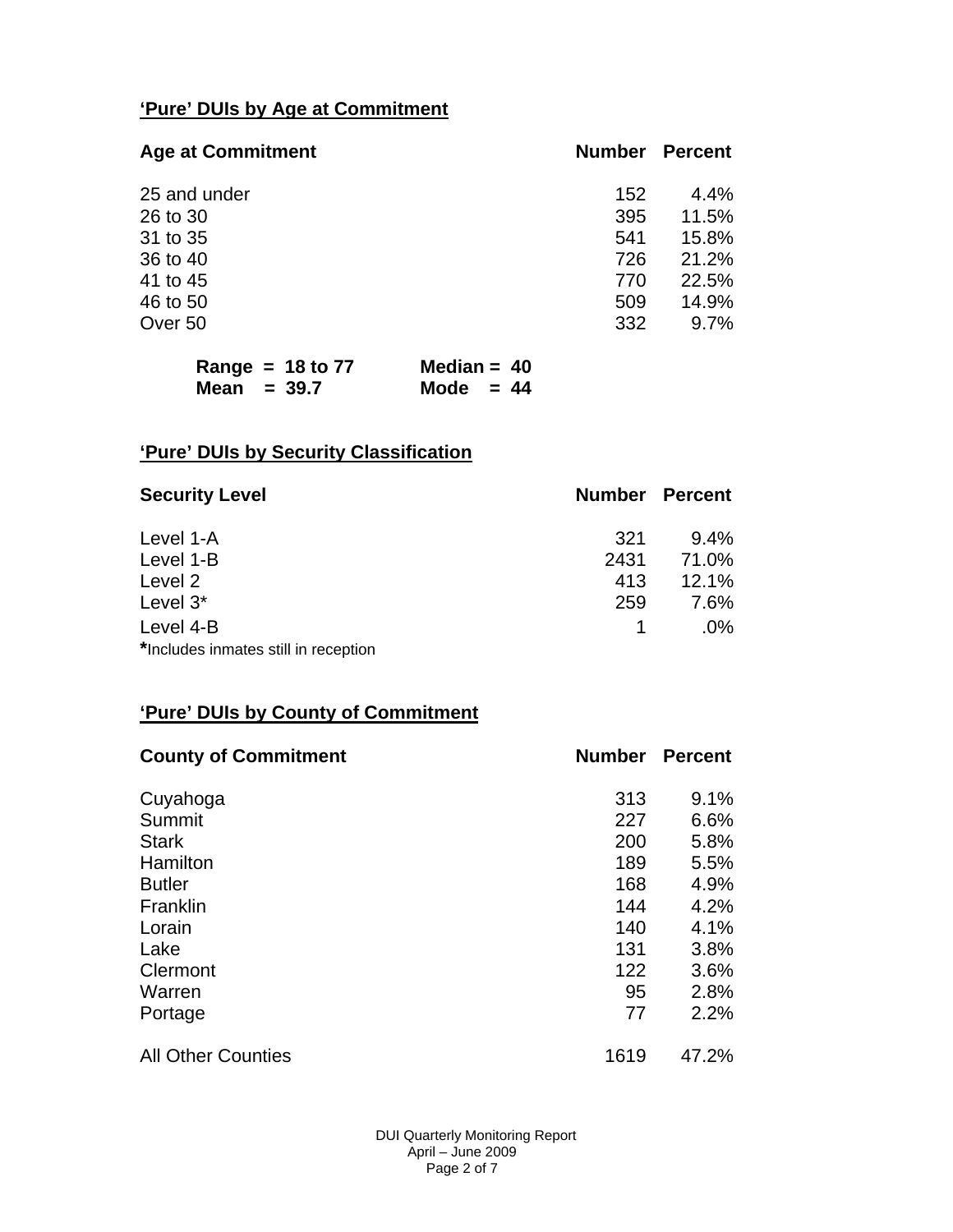## **'Pure' DUIs by Age at Commitment**

| <b>Age at Commitment</b> | <b>Number Percent</b> |         |
|--------------------------|-----------------------|---------|
| 25 and under             | 152                   | $4.4\%$ |
| 26 to 30                 | 395                   | 11.5%   |
| 31 to 35                 | 541                   | 15.8%   |
| 36 to 40                 | 726                   | 21.2%   |
| 41 to 45                 | 770                   | 22.5%   |
| 46 to 50                 | 509                   | 14.9%   |
| Over 50                  | 332                   | 9.7%    |

| Range = $18$ to 77 | Median = $40$ |
|--------------------|---------------|
| Mean $= 39.7$      | Mode $= 44$   |

# **'Pure' DUIs by Security Classification**

| <b>Security Level</b>                | <b>Number Percent</b> |         |
|--------------------------------------|-----------------------|---------|
| Level 1-A                            | 321                   | $9.4\%$ |
| Level 1-B                            | 2431                  | 71.0%   |
| Level 2                              | 413                   | 12.1%   |
| Level 3*                             | 259                   | 7.6%    |
| Level 4-B                            |                       | $.0\%$  |
| *Includes inmates still in reception |                       |         |

## **'Pure' DUIs by County of Commitment**

| <b>County of Commitment</b> | <b>Number</b> | <b>Percent</b> |
|-----------------------------|---------------|----------------|
| Cuyahoga                    | 313           | 9.1%           |
| Summit                      | 227           | 6.6%           |
| <b>Stark</b>                | 200           | 5.8%           |
| Hamilton                    | 189           | 5.5%           |
| <b>Butler</b>               | 168           | 4.9%           |
| Franklin                    | 144           | 4.2%           |
| Lorain                      | 140           | 4.1%           |
| Lake                        | 131           | 3.8%           |
| Clermont                    | 122           | 3.6%           |
| Warren                      | 95            | 2.8%           |
| Portage                     | 77            | 2.2%           |
| <b>All Other Counties</b>   | 1619          | 47.2%          |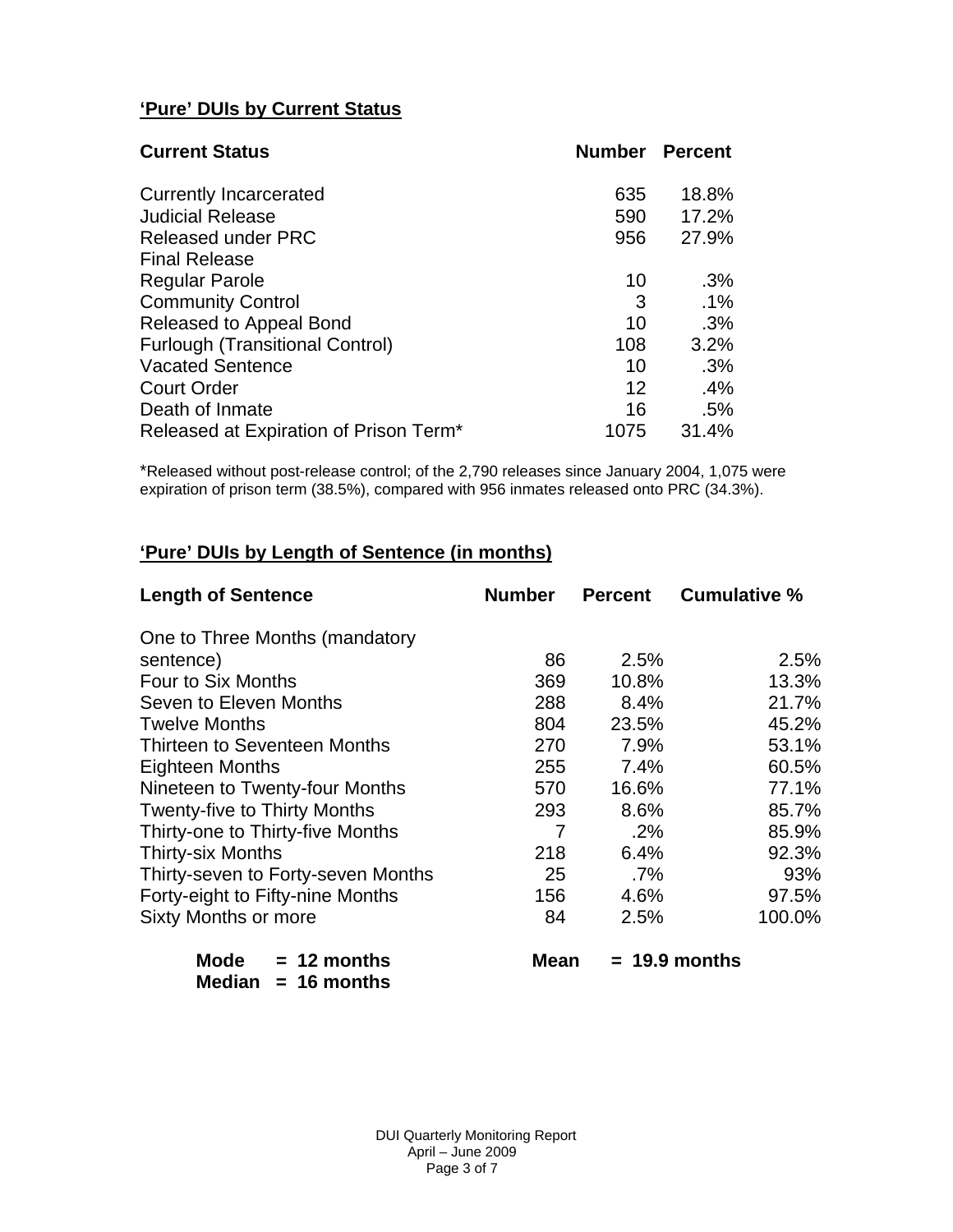# **'Pure' DUIs by Current Status**

| <b>Current Status</b>                  | <b>Number Percent</b> |        |
|----------------------------------------|-----------------------|--------|
| <b>Currently Incarcerated</b>          | 635                   | 18.8%  |
| <b>Judicial Release</b>                | 590                   | 17.2%  |
| <b>Released under PRC</b>              | 956                   | 27.9%  |
| <b>Final Release</b>                   |                       |        |
| <b>Regular Parole</b>                  | 10                    | .3%    |
| <b>Community Control</b>               | 3                     | $.1\%$ |
| Released to Appeal Bond                | 10                    | .3%    |
| <b>Furlough (Transitional Control)</b> | 108                   | 3.2%   |
| <b>Vacated Sentence</b>                | 10                    | .3%    |
| <b>Court Order</b>                     | 12                    | .4%    |
| Death of Inmate                        | 16                    | .5%    |
| Released at Expiration of Prison Term* | 1075                  | 31.4%  |

\*Released without post-release control; of the 2,790 releases since January 2004, 1,075 were expiration of prison term (38.5%), compared with 956 inmates released onto PRC (34.3%).

## **'Pure' DUIs by Length of Sentence (in months)**

| <b>Length of Sentence</b>           | <b>Number</b> | <b>Percent</b> | <b>Cumulative %</b> |
|-------------------------------------|---------------|----------------|---------------------|
| One to Three Months (mandatory      |               |                |                     |
| sentence)                           | 86            | 2.5%           | 2.5%                |
| Four to Six Months                  | 369           | 10.8%          | 13.3%               |
| Seven to Eleven Months              | 288           | 8.4%           | 21.7%               |
| <b>Twelve Months</b>                | 804           | 23.5%          | 45.2%               |
| Thirteen to Seventeen Months        | 270           | 7.9%           | 53.1%               |
| <b>Eighteen Months</b>              | 255           | 7.4%           | 60.5%               |
| Nineteen to Twenty-four Months      | 570           | 16.6%          | 77.1%               |
| <b>Twenty-five to Thirty Months</b> | 293           | 8.6%           | 85.7%               |
| Thirty-one to Thirty-five Months    | 7             | $.2\%$         | 85.9%               |
| <b>Thirty-six Months</b>            | 218           | 6.4%           | 92.3%               |
| Thirty-seven to Forty-seven Months  | 25            | $.7\%$         | 93%                 |
| Forty-eight to Fifty-nine Months    | 156           | 4.6%           | 97.5%               |
| <b>Sixty Months or more</b>         | 84            | 2.5%           | 100.0%              |

 **Mode = 12 months Mean = 19.9 months Median = 16 months**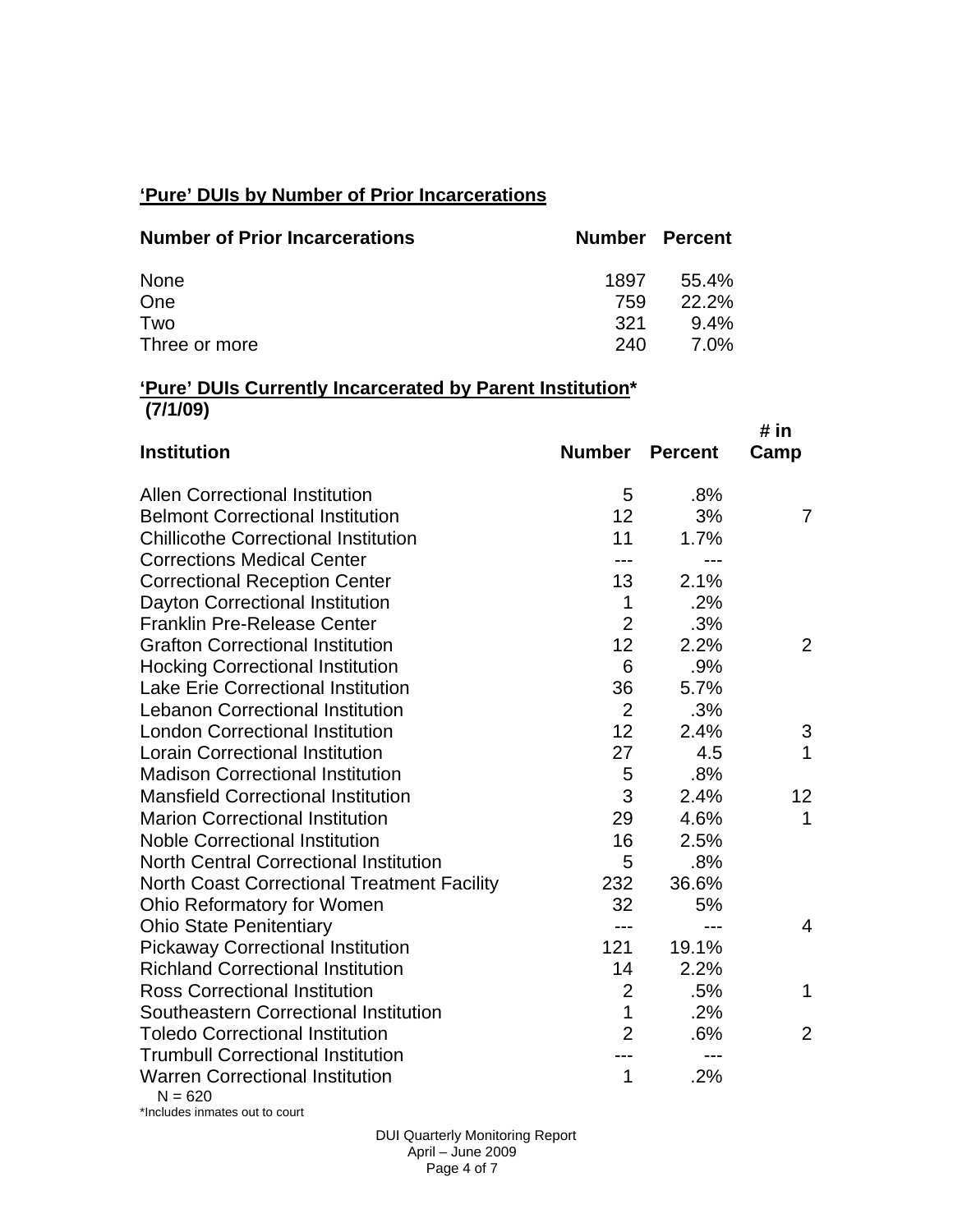## **'Pure' DUIs by Number of Prior Incarcerations**

| <b>Number of Prior Incarcerations</b> | <b>Number Percent</b> |             |
|---------------------------------------|-----------------------|-------------|
| None                                  | 1897                  | $55.4\%$    |
| One                                   | 759                   | $22.2\%$    |
| Two                                   | 321                   | $9.4\%$     |
| Three or more                         | 240                   | <b>7.0%</b> |

#### **'Pure' DUIs Currently Incarcerated by Parent Institution\* (7/1/09)**

| <b>Institution</b>                                  | <b>Number</b>  | <b>Percent</b> | # in<br>Camp    |
|-----------------------------------------------------|----------------|----------------|-----------------|
|                                                     |                |                |                 |
| <b>Allen Correctional Institution</b>               | 5              | .8%            |                 |
| <b>Belmont Correctional Institution</b>             | 12             | 3%             | 7               |
| <b>Chillicothe Correctional Institution</b>         | 11             | 1.7%           |                 |
| <b>Corrections Medical Center</b>                   | $---$          | $---$          |                 |
| <b>Correctional Reception Center</b>                | 13             | 2.1%           |                 |
| Dayton Correctional Institution                     | $\mathbf 1$    | .2%            |                 |
| <b>Franklin Pre-Release Center</b>                  | $\overline{2}$ | .3%            |                 |
| <b>Grafton Correctional Institution</b>             | 12             | 2.2%           | 2               |
| <b>Hocking Correctional Institution</b>             | 6              | .9%            |                 |
| <b>Lake Erie Correctional Institution</b>           | 36             | 5.7%           |                 |
| <b>Lebanon Correctional Institution</b>             | $\overline{2}$ | .3%            |                 |
| <b>London Correctional Institution</b>              | 12             | 2.4%           | 3               |
| <b>Lorain Correctional Institution</b>              | 27             | 4.5            | 1               |
| <b>Madison Correctional Institution</b>             | 5              | .8%            |                 |
| <b>Mansfield Correctional Institution</b>           | 3              | 2.4%           | 12 <sub>2</sub> |
| <b>Marion Correctional Institution</b>              | 29             | 4.6%           | 1               |
| <b>Noble Correctional Institution</b>               | 16             | 2.5%           |                 |
| <b>North Central Correctional Institution</b>       | 5              | .8%            |                 |
| <b>North Coast Correctional Treatment Facility</b>  | 232            | 36.6%          |                 |
| Ohio Reformatory for Women                          | 32             | 5%             |                 |
| <b>Ohio State Penitentiary</b>                      | $- - -$        | $---$          | 4               |
| <b>Pickaway Correctional Institution</b>            | 121            | 19.1%          |                 |
| <b>Richland Correctional Institution</b>            | 14             | 2.2%           |                 |
| <b>Ross Correctional Institution</b>                | $\overline{2}$ | .5%            | 1               |
| Southeastern Correctional Institution               | $\mathbf{1}$   | .2%            |                 |
| <b>Toledo Correctional Institution</b>              | $\overline{2}$ | .6%            | $\overline{2}$  |
| <b>Trumbull Correctional Institution</b>            |                | $---$          |                 |
| <b>Warren Correctional Institution</b><br>$N = 620$ | 1              | .2%            |                 |

\*Includes inmates out to court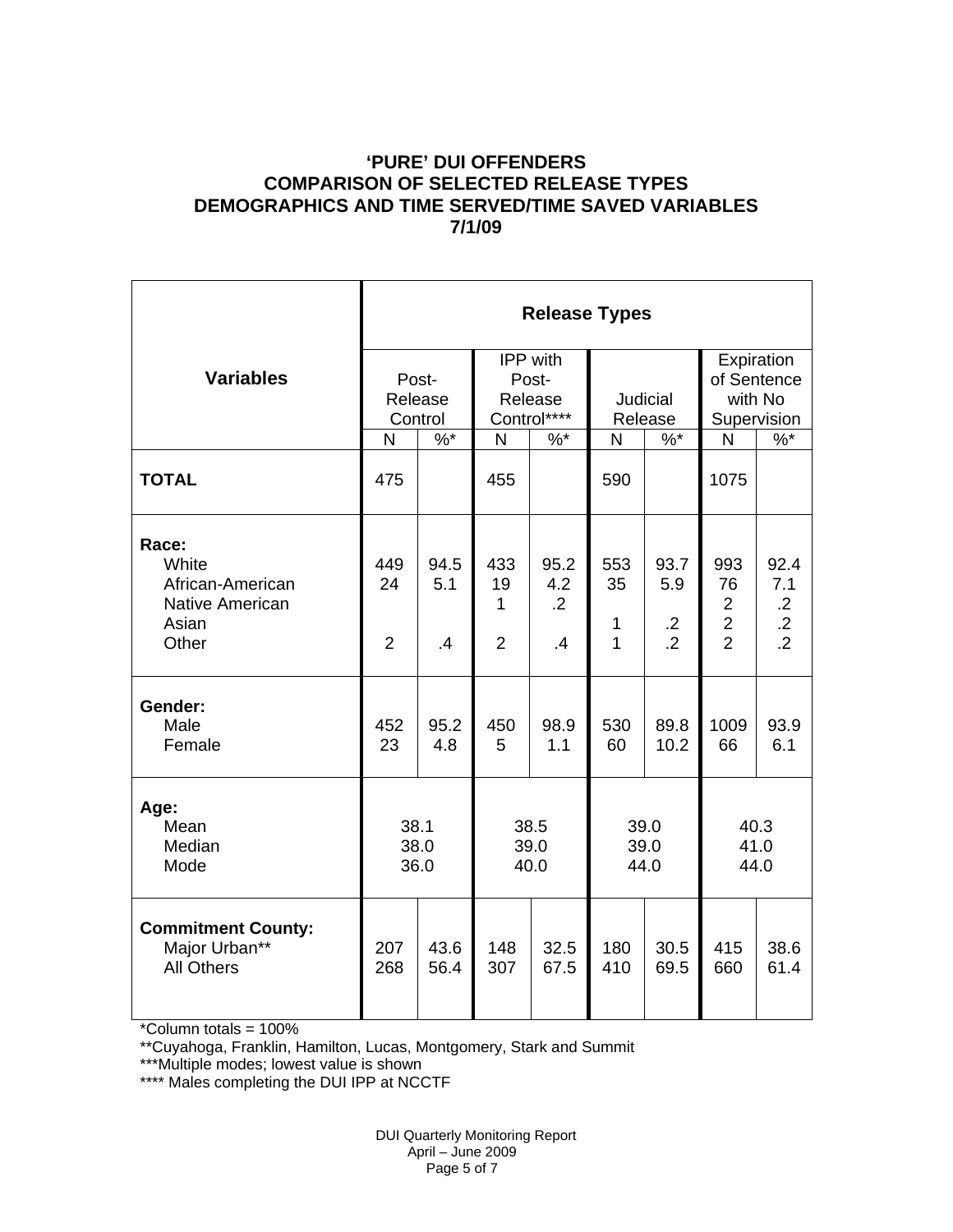### **'PURE' DUI OFFENDERS COMPARISON OF SELECTED RELEASE TYPES DEMOGRAPHICS AND TIME SERVED/TIME SAVED VARIABLES 7/1/09**

|                                                                                | <b>Release Types</b>        |                             |                                  |                                             |                                |                                             |                                                                 |                                                        |  |  |
|--------------------------------------------------------------------------------|-----------------------------|-----------------------------|----------------------------------|---------------------------------------------|--------------------------------|---------------------------------------------|-----------------------------------------------------------------|--------------------------------------------------------|--|--|
| <b>Variables</b>                                                               |                             | Post-<br>Release<br>Control |                                  | IPP with<br>Post-<br>Release<br>Control**** | Judicial<br>Release            |                                             | Expiration<br>of Sentence<br>with No<br>Supervision             |                                                        |  |  |
|                                                                                | N                           | $%^*$                       | N                                | $%$ *                                       | N                              | $%^*$                                       | N                                                               | $%^*$                                                  |  |  |
| <b>TOTAL</b>                                                                   | 475                         |                             | 455                              |                                             | 590                            |                                             | 1075                                                            |                                                        |  |  |
| Race:<br>White<br>African-American<br><b>Native American</b><br>Asian<br>Other | 449<br>24<br>$\overline{2}$ | 94.5<br>5.1<br>$\cdot$      | 433<br>19<br>1<br>$\overline{2}$ | 95.2<br>4.2<br>$\overline{2}$<br>.4         | 553<br>35<br>$\mathbf{1}$<br>1 | 93.7<br>5.9<br>$\cdot$ .2<br>$\overline{2}$ | 993<br>76<br>$\overline{2}$<br>$\overline{c}$<br>$\overline{2}$ | 92.4<br>7.1<br>$\cdot$ .2<br>$\cdot$<br>$\overline{2}$ |  |  |
| Gender:<br>Male<br>Female                                                      | 452<br>23                   | 95.2<br>4.8                 | 450<br>5                         | 98.9<br>1.1                                 | 530<br>60                      | 89.8<br>10.2                                | 1009<br>66                                                      | 93.9<br>6.1                                            |  |  |
| Age:<br>Mean<br>Median<br>Mode                                                 | 38.1<br>38.0<br>36.0        |                             | 38.5<br>39.0<br>40.0             |                                             | 39.0<br>39.0<br>44.0           |                                             | 40.3<br>41.0<br>44.0                                            |                                                        |  |  |
| <b>Commitment County:</b><br>Major Urban**<br><b>All Others</b>                | 207<br>268                  | 43.6<br>56.4                | 148<br>307                       | 32.5<br>67.5                                | 180<br>410                     | 30.5<br>69.5                                | 415<br>660                                                      | 38.6<br>61.4                                           |  |  |

 $*$ Column totals = 100%

\*\*Cuyahoga, Franklin, Hamilton, Lucas, Montgomery, Stark and Summit

\*\*\*Multiple modes; lowest value is shown

\*\*\*\* Males completing the DUI IPP at NCCTF

 DUI Quarterly Monitoring Report April – June 2009 Page 5 of 7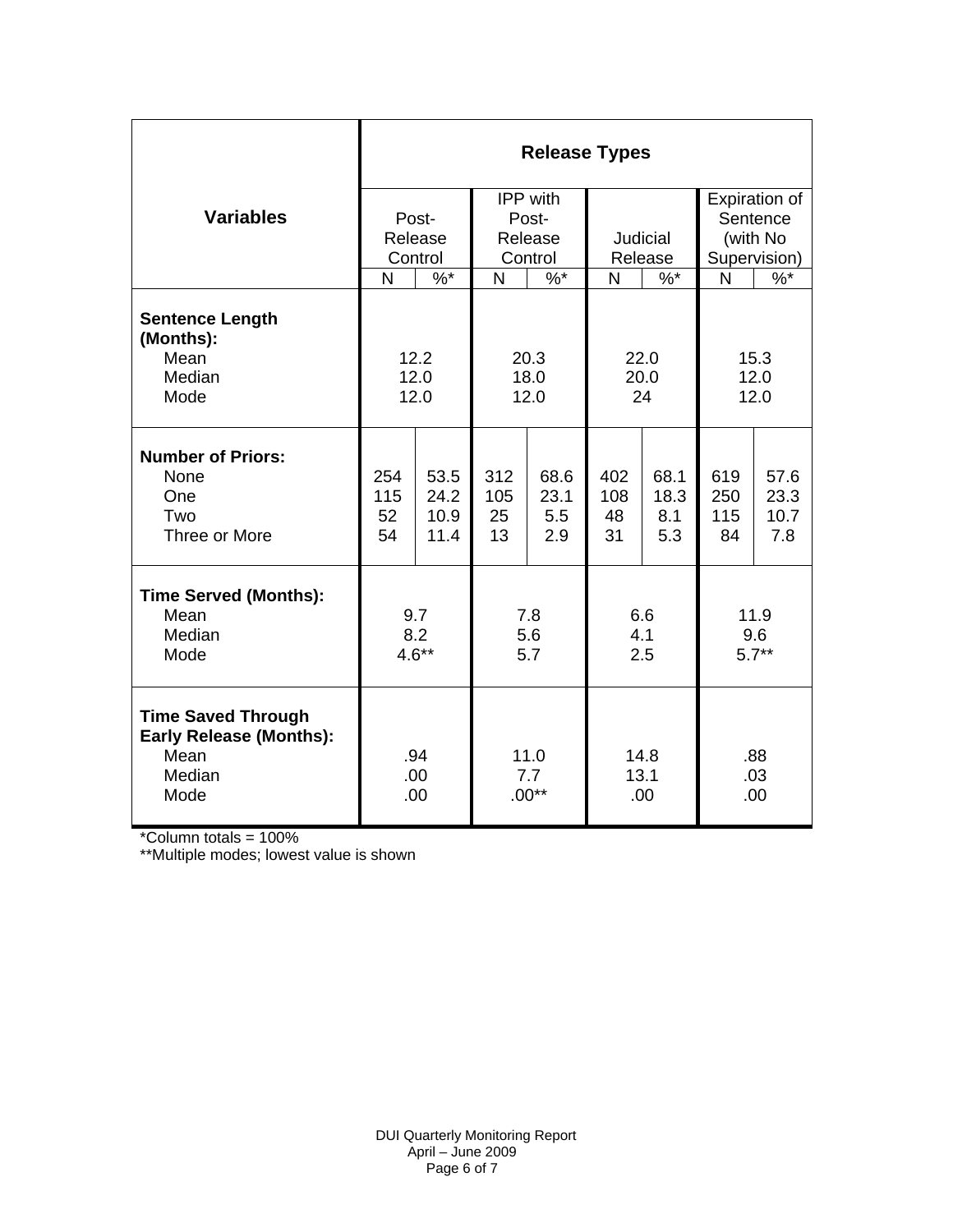|                                                                                       | <b>Release Types</b> |              |                        |            |                     |             |                   |               |  |  |
|---------------------------------------------------------------------------------------|----------------------|--------------|------------------------|------------|---------------------|-------------|-------------------|---------------|--|--|
|                                                                                       |                      |              | IPP with               |            |                     |             | Expiration of     |               |  |  |
| <b>Variables</b>                                                                      |                      | Post-        | Post-                  |            |                     |             | Sentence          |               |  |  |
|                                                                                       |                      | Release      |                        | Release    | Judicial<br>Release |             | (with No          |               |  |  |
|                                                                                       |                      | Control      |                        | Control    |                     |             | Supervision)      |               |  |  |
|                                                                                       | N                    | $\%$ *       | N                      | $\%$ *     | N                   | $\%$ *      | N                 | $\sqrt[6]{6}$ |  |  |
| <b>Sentence Length</b><br>(Months):                                                   |                      |              |                        |            |                     |             |                   |               |  |  |
| Mean                                                                                  |                      | 12.2         | 20.3                   |            | 22.0                |             | 15.3              |               |  |  |
| Median                                                                                | 12.0<br>12.0         |              | 18.0                   |            | 20.0                |             | 12.0              |               |  |  |
| Mode                                                                                  |                      |              | 12.0                   |            | 24                  |             | 12.0              |               |  |  |
| <b>Number of Priors:</b>                                                              |                      |              |                        |            |                     |             |                   |               |  |  |
| None                                                                                  | 254                  | 53.5         | 312                    | 68.6       | 402                 | 68.1        | 619               | 57.6          |  |  |
| One<br>Two                                                                            | 115                  | 24.2         | 105                    | 23.1       | 108                 | 18.3<br>8.1 | 250               | 23.3<br>10.7  |  |  |
| Three or More                                                                         | 52<br>54             | 10.9<br>11.4 | 25<br>13               | 5.5<br>2.9 | 48<br>31            | 5.3         | 115<br>84         | 7.8           |  |  |
|                                                                                       |                      |              |                        |            |                     |             |                   |               |  |  |
| <b>Time Served (Months):</b>                                                          |                      |              |                        |            |                     |             |                   |               |  |  |
| Mean                                                                                  |                      | 9.7          | 7.8                    |            | 6.6                 |             | 11.9              |               |  |  |
| Median                                                                                | 8.2                  |              | 5.6                    |            | 4.1                 |             | 9.6               |               |  |  |
| Mode                                                                                  | $4.6**$              |              | 5.7                    |            | 2.5                 |             | $5.7**$           |               |  |  |
| <b>Time Saved Through</b><br><b>Early Release (Months):</b><br>Mean<br>Median<br>Mode | .94<br>.00<br>.00    |              | 11.0<br>7.7<br>$.00**$ |            | 14.8<br>13.1<br>.00 |             | .88<br>.03<br>.00 |               |  |  |

\*Column totals = 100%

\*\*Multiple modes; lowest value is shown